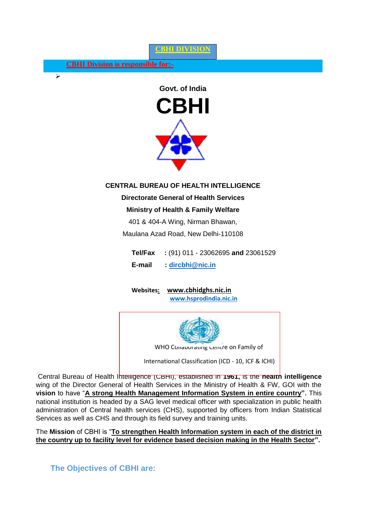#### **CBHI DIVISION**

**CBHI Division is responsible for:-**

 $\triangleright$ 



### **CENTRAL BUREAU OF HEALTH INTELLIGENCE**

**Directorate General of Health Services**

#### **Ministry of Health & Family Welfare**

401 & 404-A Wing, Nirman Bhawan,

Maulana Azad Road, New Delhi-110108

**Tel/Fax :** (91) 011 - 23062695 **and** 23061529 **E-mail : [dircbhi@nic.in](mailto:dircbhi@nic.in)**

**Websites: www.cbhidghs.nic.in [www.hsprodindia.nic.in](http://www.hsprodindia.nic.in/)**



Central Bureau of Health Intelligence (CBHI), established in **1961,** is the **health intelligence** wing of the Director General of Health Services in the Ministry of Health & FW, GOI with the **vision** to have "**A strong Health Management Information System in entire country".** This national institution is headed by a SAG level medical officer with specialization in public health administration of Central health services (CHS), supported by officers from Indian Statistical Services as well as CHS and through its field survey and training units.

The **Mission** of CBHI is "**To strengthen Health Information system in each of the district in the country up to facility level for evidence based decision making in the Health Sector".**

**The Objectives of CBHI are:**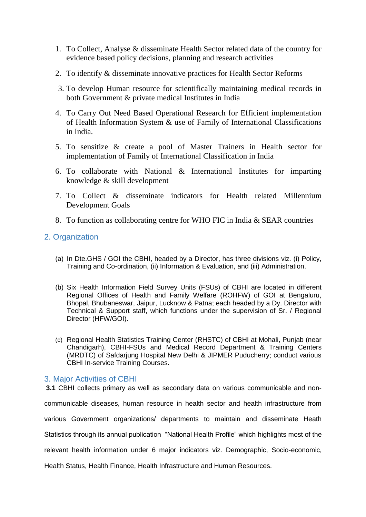- 1. To Collect, Analyse & disseminate Health Sector related data of the country for evidence based policy decisions, planning and research activities
- 2. To identify & disseminate innovative practices for Health Sector Reforms
- 3. To develop Human resource for scientifically maintaining medical records in both Government & private medical Institutes in India
- 4. To Carry Out Need Based Operational Research for Efficient implementation of Health Information System & use of Family of International Classifications in India.
- 5. To sensitize & create a pool of Master Trainers in Health sector for implementation of Family of International Classification in India
- 6. To collaborate with National & International Institutes for imparting knowledge & skill development
- 7. To Collect & disseminate indicators for Health related Millennium Development Goals
- 8. To function as collaborating centre for WHO FIC in India & SEAR countries

## 2. Organization

- (a) In Dte.GHS / GOI the CBHI, headed by a Director, has three divisions viz. (i) Policy, Training and Co-ordination, (ii) Information & Evaluation, and (iii) Administration.
- (b) Six Health Information Field Survey Units (FSUs) of CBHI are located in different Regional Offices of Health and Family Welfare (ROHFW) of GOI at Bengaluru, Bhopal, Bhubaneswar, Jaipur, Lucknow & Patna; each headed by a Dy. Director with Technical & Support staff, which functions under the supervision of Sr. / Regional Director (HFW/GOI).
- (c) Regional Health Statistics Training Center (RHSTC) of CBHI at Mohali, Punjab (near Chandigarh), CBHI-FSUs and Medical Record Department & Training Centers (MRDTC) of Safdarjung Hospital New Delhi & JIPMER Puducherry; conduct various CBHI In-service Training Courses.

### 3. Major Activities of CBHI

**3.1** CBHI collects primary as well as secondary data on various communicable and noncommunicable diseases, human resource in health sector and health infrastructure from various Government organizations/ departments to maintain and disseminate Heath Statistics through its annual publication "National Health Profile" which highlights most of the relevant health information under 6 major indicators viz. Demographic, Socio-economic, Health Status, Health Finance, Health Infrastructure and Human Resources.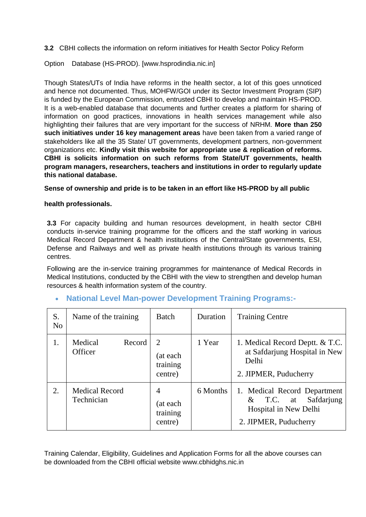**3.2** CBHI collects the information on reform initiatives for Health Sector Policy Reform

Option Database (HS-PROD). [www.hsprodindia.nic.in]

Though States/UTs of India have reforms in the health sector, a lot of this goes unnoticed and hence not documented. Thus, MOHFW/GOI under its Sector Investment Program (SIP) is funded by the European Commission, entrusted CBHI to develop and maintain HS-PROD. It is a web-enabled database that documents and further creates a platform for sharing of information on good practices, innovations in health services management while also highlighting their failures that are very important for the success of NRHM. **More than 250 such initiatives under 16 key management areas** have been taken from a varied range of stakeholders like all the 35 State/ UT governments, development partners, non-government organizations etc. **Kindly visit this website for appropriate use & replication of reforms. CBHI is solicits information on such reforms from State/UT governments, health program managers, researchers, teachers and institutions in order to regularly update this national database.**

**Sense of ownership and pride is to be taken in an effort like HS-PROD by all public** 

### **health professionals.**

**3.3** For capacity building and human resources development, in health sector CBHI conducts in-service training programme for the officers and the staff working in various Medical Record Department & health institutions of the Central/State governments, ESI, Defense and Railways and well as private health institutions through its various training centres.

Following are the in-service training programmes for maintenance of Medical Records in Medical Institutions, conducted by the CBHI with the view to strengthen and develop human resources & health information system of the country.

| S.<br>N <sub>0</sub> | Name of the training                | Batch                                                          | Duration | <b>Training Centre</b>                                                                                      |
|----------------------|-------------------------------------|----------------------------------------------------------------|----------|-------------------------------------------------------------------------------------------------------------|
| 1.                   | Medical<br>Record<br>Officer        | $\mathcal{D}_{\mathcal{L}}$<br>(at each<br>training<br>centre) | 1 Year   | 1. Medical Record Deptt. & T.C.<br>at Safdarjung Hospital in New<br>Delhi<br>2. JIPMER, Puducherry          |
| 2.                   | <b>Medical Record</b><br>Technician | $\overline{4}$<br>(at each<br>training<br>centre)              | 6 Months | 1. Medical Record Department<br>Safdarjung<br>$&$ T.C. at<br>Hospital in New Delhi<br>2. JIPMER, Puducherry |

### **National Level Man-power Development Training Programs:-**

Training Calendar, Eligibility, Guidelines and Application Forms for all the above courses can be downloaded from the CBHI official website www.cbhidghs.nic.in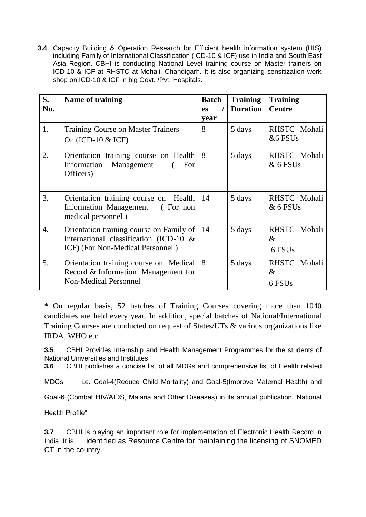**3.4** Capacity Building & Operation Research for Efficient health information system (HIS) including Family of International Classification (ICD-10 & ICF) use in India and South East Asia Region. CBHI is conducting National Level training course on Master trainers on ICD-10 & ICF at RHSTC at Mohali, Chandigarh. It is also organizing sensitization work shop on ICD-10 & ICF in big Govt. /Pvt. Hospitals.

| S.<br>No. | <b>Name of training</b>                                                                                                | <b>Batch</b><br>es<br>year | <b>Training</b><br><b>Duration</b> | <b>Training</b><br><b>Centre</b>           |
|-----------|------------------------------------------------------------------------------------------------------------------------|----------------------------|------------------------------------|--------------------------------------------|
| 1.        | <b>Training Course on Master Trainers</b><br>On $(ICD-10 \& ICF)$                                                      | 8                          | 5 days                             | RHSTC Mohali<br>&6 FSUs                    |
| 2.        | Orientation training course on Health<br>Management<br>Information<br>For<br>Officers)                                 | 8                          | 5 days                             | RHSTC Mohali<br>$&6$ FSUs                  |
| 3.        | Orientation training course on<br>Health<br><b>Information Management</b><br>(For non<br>medical personnel)            | 14                         | 5 days                             | RHSTC Mohali<br>$&6$ FSUs                  |
| 4.        | Orientation training course on Family of<br>International classification (ICD-10 &<br>ICF) (For Non-Medical Personnel) | 14                         | 5 days                             | RHSTC Mohali<br>$\&$<br>6 FSU <sub>s</sub> |
| 5.        | Orientation training course on Medical<br>Record & Information Management for<br><b>Non-Medical Personnel</b>          | 8                          | 5 days                             | RHSTC Mohali<br>$\&$<br>6 FSU <sub>s</sub> |

**\*** On regular basis, 52 batches of Training Courses covering more than 1040 candidates are held every year. In addition, special batches of National/International Training Courses are conducted on request of States/UTs & various organizations like IRDA, WHO etc.

**3.5** CBHI Provides Internship and Health Management Programmes for the students of National Universities and Institutes.

**3.6** CBHI publishes a concise list of all MDGs and comprehensive list of Health related

MDGs i.e. Goal-4(Reduce Child Mortality) and Goal-5(Improve Maternal Health) and

Goal-6 (Combat HIV/AIDS, Malaria and Other Diseases) in its annual publication "National

Health Profile".

**3.7** CBHI is playing an important role for implementation of Electronic Health Record in India. It is identified as Resource Centre for maintaining the licensing of SNOMED CT in the country.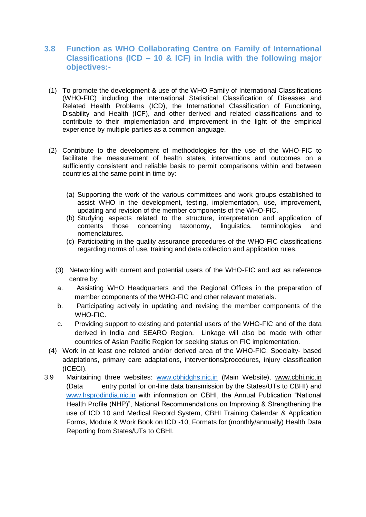## **3.8 Function as WHO Collaborating Centre on Family of International Classifications (ICD – 10 & ICF) in India with the following major objectives:-**

- (1) To promote the development & use of the WHO Family of International Classifications (WHO-FIC) including the International Statistical Classification of Diseases and Related Health Problems (ICD), the International Classification of Functioning, Disability and Health (ICF), and other derived and related classifications and to contribute to their implementation and improvement in the light of the empirical experience by multiple parties as a common language.
- (2) Contribute to the development of methodologies for the use of the WHO-FIC to facilitate the measurement of health states, interventions and outcomes on a sufficiently consistent and reliable basis to permit comparisons within and between countries at the same point in time by:
	- (a) Supporting the work of the various committees and work groups established to assist WHO in the development, testing, implementation, use, improvement, updating and revision of the member components of the WHO-FIC.
	- (b) Studying aspects related to the structure, interpretation and application of contents those concerning taxonomy, linguistics, terminologies and nomenclatures.
	- (c) Participating in the quality assurance procedures of the WHO-FIC classifications regarding norms of use, training and data collection and application rules.
	- (3) Networking with current and potential users of the WHO-FIC and act as reference centre by:
	- a. Assisting WHO Headquarters and the Regional Offices in the preparation of member components of the WHO-FIC and other relevant materials.
	- b. Participating actively in updating and revising the member components of the WHO-FIC.
	- c. Providing support to existing and potential users of the WHO-FIC and of the data derived in India and SEARO Region. Linkage will also be made with other countries of Asian Pacific Region for seeking status on FIC implementation.
- (4) Work in at least one related and/or derived area of the WHO-FIC: Specialty- based adaptations, primary care adaptations, interventions/procedures, injury classification (ICECI).
- 3.9 Maintaining three websites: [www.cbhidghs.nic.in](http://www.cbhidghs.nic.in/) (Main Website), www.cbhi.nic.in (Data entry portal for on-line data transmission by the States/UTs to CBHI) and [www.hsprodindia.nic.in](http://www.hsprodindia.nic.in/) with information on CBHI, the Annual Publication "National Health Profile (NHP)", National Recommendations on Improving & Strengthening the use of ICD 10 and Medical Record System, CBHI Training Calendar & Application Forms, Module & Work Book on ICD -10, Formats for (monthly/annually) Health Data Reporting from States/UTs to CBHI.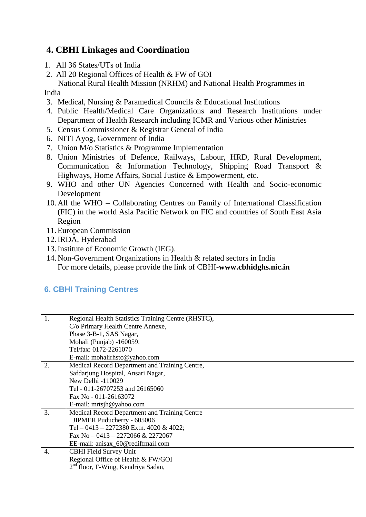# **4. CBHI Linkages and Coordination**

- 1. All 36 States/UTs of India
- 2. All 20 Regional Offices of Health & FW of GOI

 National Rural Health Mission (NRHM) and National Health Programmes in India

- 3. Medical, Nursing & Paramedical Councils & Educational Institutions
- 4. Public Health/Medical Care Organizations and Research Institutions under Department of Health Research including ICMR and Various other Ministries
- 5. Census Commissioner & Registrar General of India
- 6. NITI Ayog, Government of India
- 7. Union M/o Statistics & Programme Implementation
- 8. Union Ministries of Defence, Railways, Labour, HRD, Rural Development, Communication & Information Technology, Shipping Road Transport & Highways, Home Affairs, Social Justice & Empowerment, etc.
- 9. WHO and other UN Agencies Concerned with Health and Socio-economic Development
- 10.All the WHO Collaborating Centres on Family of International Classification (FIC) in the world Asia Pacific Network on FIC and countries of South East Asia Region
- 11.European Commission
- 12.IRDA, Hyderabad
- 13.Institute of Economic Growth (IEG).
- 14.Non-Government Organizations in Health & related sectors in India For more details, please provide the link of CBHI-**www.cbhidghs.nic.in**

## **6. CBHI Training Centres**

| 1. | Regional Health Statistics Training Centre (RHSTC), |  |  |  |
|----|-----------------------------------------------------|--|--|--|
|    | C/o Primary Health Centre Annexe,                   |  |  |  |
|    | Phase 3-B-1, SAS Nagar,                             |  |  |  |
|    | Mohali (Punjab) -160059.                            |  |  |  |
|    | Tel/fax: 0172-2261070                               |  |  |  |
|    | E-mail: mohalirhstc@yahoo.com                       |  |  |  |
| 2. | Medical Record Department and Training Centre,      |  |  |  |
|    | Safdarjung Hospital, Ansari Nagar,                  |  |  |  |
|    | New Delhi -110029                                   |  |  |  |
|    | Tel - 011-26707253 and 26165060                     |  |  |  |
|    | Fax No - 011-26163072                               |  |  |  |
|    | E-mail: mrtsjh@yahoo.com                            |  |  |  |
| 3. | Medical Record Department and Training Centre       |  |  |  |
|    | JIPMER Puducherry - 605006                          |  |  |  |
|    | Tel - 0413 - 2272380 Extn. 4020 & 4022;             |  |  |  |
|    | Fax No $-0413 - 2272066$ & 2272067                  |  |  |  |
|    | EE-mail: anisax 60@rediffmail.com                   |  |  |  |
| 4. | <b>CBHI Field Survey Unit</b>                       |  |  |  |
|    | Regional Office of Health & FW/GOI                  |  |  |  |
|    | 2 <sup>nd</sup> floor, F-Wing, Kendriya Sadan,      |  |  |  |